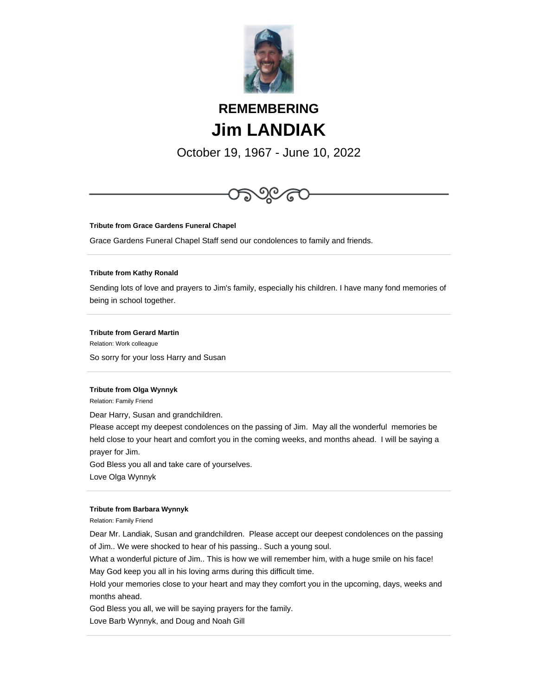

# **REMEMBERING Jim LANDIAK**

October 19, 1967 - June 10, 2022



**Tribute from Grace Gardens Funeral Chapel**

Grace Gardens Funeral Chapel Staff send our condolences to family and friends.

## **Tribute from Kathy Ronald**

Sending lots of love and prayers to Jim's family, especially his children. I have many fond memories of being in school together.

# **Tribute from Gerard Martin**

Relation: Work colleague So sorry for your loss Harry and Susan

### **Tribute from Olga Wynnyk**

Relation: Family Friend

Dear Harry, Susan and grandchildren.

Please accept my deepest condolences on the passing of Jim. May all the wonderful memories be held close to your heart and comfort you in the coming weeks, and months ahead. I will be saying a prayer for Jim.

God Bless you all and take care of yourselves.

Love Olga Wynnyk

#### **Tribute from Barbara Wynnyk**

Relation: Family Friend

Dear Mr. Landiak, Susan and grandchildren. Please accept our deepest condolences on the passing of Jim.. We were shocked to hear of his passing.. Such a young soul.

What a wonderful picture of Jim.. This is how we will remember him, with a huge smile on his face! May God keep you all in his loving arms during this difficult time.

Hold your memories close to your heart and may they comfort you in the upcoming, days, weeks and months ahead.

God Bless you all, we will be saying prayers for the family.

Love Barb Wynnyk, and Doug and Noah Gill